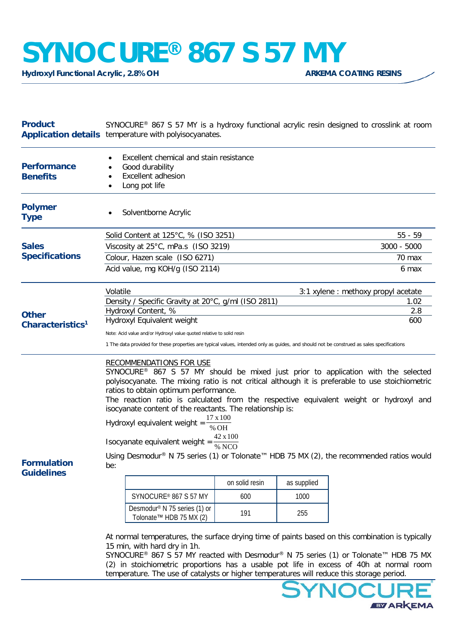## **SYNOCURE®** 867 S 57 MY

**Hydroxyl Functional Acrylic, 2.8% OH** 

| <b>Product</b>                               | SYNOCURE® 867 S 57 MY is a hydroxy functional acrylic resin designed to crosslink at room<br><b>Application details</b> temperature with polyisocyanates.                                                                                                                                                                                                                                                                                                                                                                                                                                                                                                             |                                                                     |                |             |  |  |
|----------------------------------------------|-----------------------------------------------------------------------------------------------------------------------------------------------------------------------------------------------------------------------------------------------------------------------------------------------------------------------------------------------------------------------------------------------------------------------------------------------------------------------------------------------------------------------------------------------------------------------------------------------------------------------------------------------------------------------|---------------------------------------------------------------------|----------------|-------------|--|--|
| <b>Performance</b><br><b>Benefits</b>        | Excellent chemical and stain resistance<br>Good durability<br><b>Excellent adhesion</b><br>Long pot life                                                                                                                                                                                                                                                                                                                                                                                                                                                                                                                                                              |                                                                     |                |             |  |  |
| <b>Polymer</b><br><b>Type</b>                | Solventborne Acrylic                                                                                                                                                                                                                                                                                                                                                                                                                                                                                                                                                                                                                                                  |                                                                     |                |             |  |  |
| <b>Sales</b><br><b>Specifications</b>        |                                                                                                                                                                                                                                                                                                                                                                                                                                                                                                                                                                                                                                                                       | Solid Content at 125°C, % (ISO 3251)                                | $55 - 59$      |             |  |  |
|                                              |                                                                                                                                                                                                                                                                                                                                                                                                                                                                                                                                                                                                                                                                       | Viscosity at 25°C, mPa.s (ISO 3219)                                 | 3000 - 5000    |             |  |  |
|                                              |                                                                                                                                                                                                                                                                                                                                                                                                                                                                                                                                                                                                                                                                       | Colour, Hazen scale (ISO 6271)                                      | 70 max         |             |  |  |
|                                              |                                                                                                                                                                                                                                                                                                                                                                                                                                                                                                                                                                                                                                                                       | Acid value, mg KOH/g (ISO 2114)                                     | 6 max          |             |  |  |
| <b>Other</b><br>Characteristics <sup>1</sup> | Volatile<br>3:1 xylene : methoxy propyl acetate<br>Density / Specific Gravity at 20°C, g/ml (ISO 2811)<br>1.02                                                                                                                                                                                                                                                                                                                                                                                                                                                                                                                                                        |                                                                     |                |             |  |  |
|                                              |                                                                                                                                                                                                                                                                                                                                                                                                                                                                                                                                                                                                                                                                       | Hydroxyl Content, %<br>Hydroxyl Equivalent weight                   | 2.8<br>600     |             |  |  |
|                                              | Note: Acid value and/or Hydroxyl value quoted relative to solid resin                                                                                                                                                                                                                                                                                                                                                                                                                                                                                                                                                                                                 |                                                                     |                |             |  |  |
|                                              | 1 The data provided for these properties are typical values, intended only as guides, and should not be construed as sales specifications                                                                                                                                                                                                                                                                                                                                                                                                                                                                                                                             |                                                                     |                |             |  |  |
| <b>Formulation</b>                           | <b>RECOMMENDATIONS FOR USE</b><br>SYNOCURE <sup>®</sup> 867 S 57 MY should be mixed just prior to application with the selected<br>polyisocyanate. The mixing ratio is not critical although it is preferable to use stoichiometric<br>ratios to obtain optimum performance.<br>The reaction ratio is calculated from the respective equivalent weight or hydroxyl and<br>isocyanate content of the reactants. The relationship is:<br>17 x 100<br>Hydroxyl equivalent weight =<br>$%$ OH<br>Isocyanate equivalent weight = $\frac{42 \times 100}{\% \text{ NCO}}$<br>Using Desmodur® N 75 series (1) or Tolonate™ HDB 75 MX (2), the recommended ratios would<br>be: |                                                                     |                |             |  |  |
| <b>Guidelines</b>                            |                                                                                                                                                                                                                                                                                                                                                                                                                                                                                                                                                                                                                                                                       |                                                                     | on solid resin | as supplied |  |  |
|                                              |                                                                                                                                                                                                                                                                                                                                                                                                                                                                                                                                                                                                                                                                       | SYNOCURE® 867 S 57 MY                                               | 600            | 1000        |  |  |
|                                              |                                                                                                                                                                                                                                                                                                                                                                                                                                                                                                                                                                                                                                                                       | Desmodur <sup>®</sup> N 75 series (1) or<br>Tolonate™ HDB 75 MX (2) | 191            | 255         |  |  |
|                                              | At normal temperatures, the surface drying time of paints based on this combination is typically                                                                                                                                                                                                                                                                                                                                                                                                                                                                                                                                                                      |                                                                     |                |             |  |  |

At normal temperatures, the surface drying time of paints based on this combination is typically 15 min, with hard dry in 1h.

SYNOCURE® 867 S 57 MY reacted with Desmodur® N 75 series (1) or Tolonate™ HDB 75 MX (2) in stoichiometric proportions has a usable pot life in excess of 40h at normal room temperature. The use of catalysts or higher temperatures will reduce this storage period.